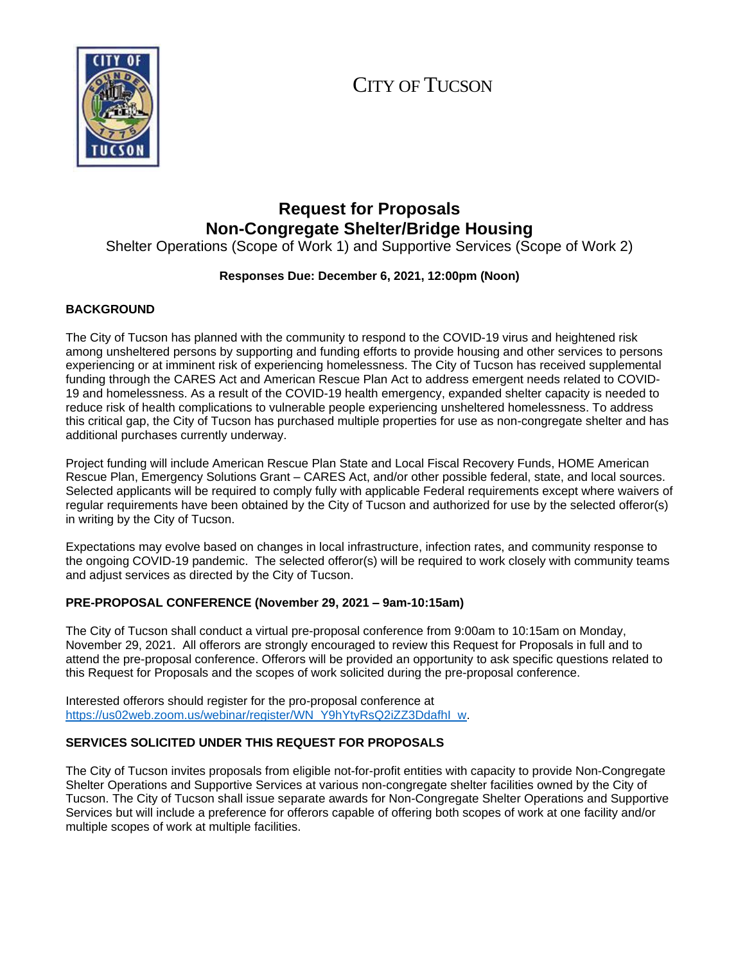# CITY OF TUCSON



## **Request for Proposals Non-Congregate Shelter/Bridge Housing**

Shelter Operations (Scope of Work 1) and Supportive Services (Scope of Work 2)

## **Responses Due: December 6, 2021, 12:00pm (Noon)**

## **BACKGROUND**

The City of Tucson has planned with the community to respond to the COVID-19 virus and heightened risk among unsheltered persons by supporting and funding efforts to provide housing and other services to persons experiencing or at imminent risk of experiencing homelessness. The City of Tucson has received supplemental funding through the CARES Act and American Rescue Plan Act to address emergent needs related to COVID-19 and homelessness. As a result of the COVID-19 health emergency, expanded shelter capacity is needed to reduce risk of health complications to vulnerable people experiencing unsheltered homelessness. To address this critical gap, the City of Tucson has purchased multiple properties for use as non-congregate shelter and has additional purchases currently underway.

Project funding will include American Rescue Plan State and Local Fiscal Recovery Funds, HOME American Rescue Plan, Emergency Solutions Grant – CARES Act, and/or other possible federal, state, and local sources. Selected applicants will be required to comply fully with applicable Federal requirements except where waivers of regular requirements have been obtained by the City of Tucson and authorized for use by the selected offeror(s) in writing by the City of Tucson.

Expectations may evolve based on changes in local infrastructure, infection rates, and community response to the ongoing COVID-19 pandemic. The selected offeror(s) will be required to work closely with community teams and adjust services as directed by the City of Tucson.

## **PRE-PROPOSAL CONFERENCE (November 29, 2021 – 9am-10:15am)**

The City of Tucson shall conduct a virtual pre-proposal conference from 9:00am to 10:15am on Monday, November 29, 2021. All offerors are strongly encouraged to review this Request for Proposals in full and to attend the pre-proposal conference. Offerors will be provided an opportunity to ask specific questions related to this Request for Proposals and the scopes of work solicited during the pre-proposal conference.

Interested offerors should register for the pro-proposal conference at [https://us02web.zoom.us/webinar/register/WN\\_Y9hYtyRsQ2iZZ3DdafhI\\_w.](https://us02web.zoom.us/webinar/register/WN_Y9hYtyRsQ2iZZ3DdafhI_w)

## **SERVICES SOLICITED UNDER THIS REQUEST FOR PROPOSALS**

The City of Tucson invites proposals from eligible not-for-profit entities with capacity to provide Non-Congregate Shelter Operations and Supportive Services at various non-congregate shelter facilities owned by the City of Tucson. The City of Tucson shall issue separate awards for Non-Congregate Shelter Operations and Supportive Services but will include a preference for offerors capable of offering both scopes of work at one facility and/or multiple scopes of work at multiple facilities.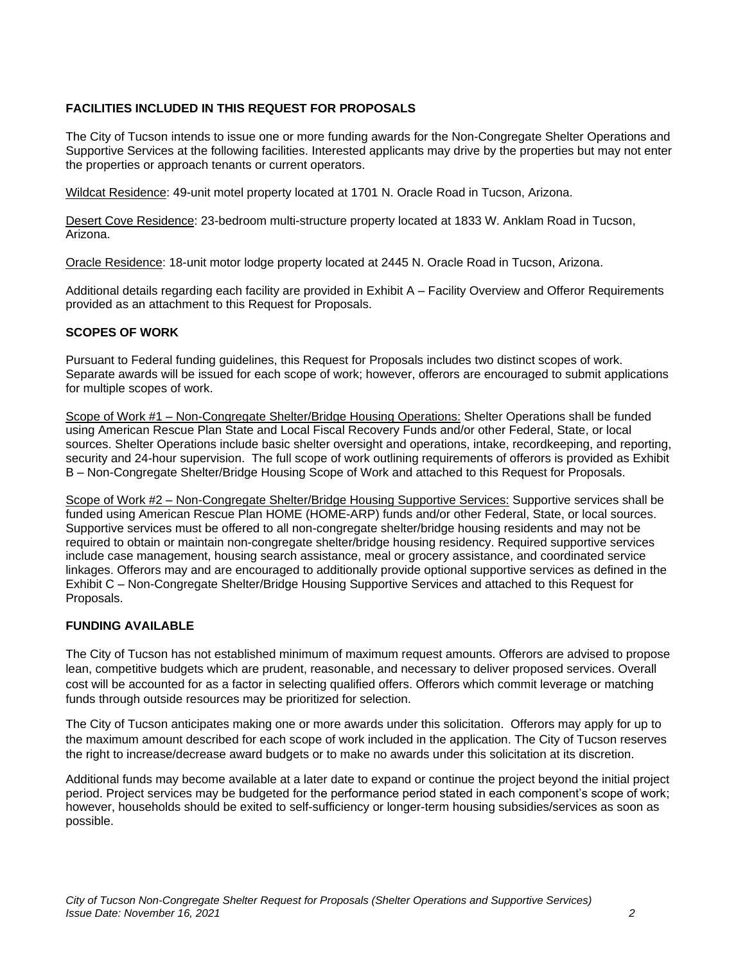## **FACILITIES INCLUDED IN THIS REQUEST FOR PROPOSALS**

The City of Tucson intends to issue one or more funding awards for the Non-Congregate Shelter Operations and Supportive Services at the following facilities. Interested applicants may drive by the properties but may not enter the properties or approach tenants or current operators.

Wildcat Residence: 49-unit motel property located at 1701 N. Oracle Road in Tucson, Arizona.

Desert Cove Residence: 23-bedroom multi-structure property located at 1833 W. Anklam Road in Tucson, Arizona.

Oracle Residence: 18-unit motor lodge property located at 2445 N. Oracle Road in Tucson, Arizona.

Additional details regarding each facility are provided in Exhibit A – Facility Overview and Offeror Requirements provided as an attachment to this Request for Proposals.

## **SCOPES OF WORK**

Pursuant to Federal funding guidelines, this Request for Proposals includes two distinct scopes of work. Separate awards will be issued for each scope of work; however, offerors are encouraged to submit applications for multiple scopes of work.

Scope of Work #1 – Non-Congregate Shelter/Bridge Housing Operations: Shelter Operations shall be funded using American Rescue Plan State and Local Fiscal Recovery Funds and/or other Federal, State, or local sources. Shelter Operations include basic shelter oversight and operations, intake, recordkeeping, and reporting, security and 24-hour supervision. The full scope of work outlining requirements of offerors is provided as Exhibit B – Non-Congregate Shelter/Bridge Housing Scope of Work and attached to this Request for Proposals.

Scope of Work #2 – Non-Congregate Shelter/Bridge Housing Supportive Services: Supportive services shall be funded using American Rescue Plan HOME (HOME-ARP) funds and/or other Federal, State, or local sources. Supportive services must be offered to all non-congregate shelter/bridge housing residents and may not be required to obtain or maintain non-congregate shelter/bridge housing residency. Required supportive services include case management, housing search assistance, meal or grocery assistance, and coordinated service linkages. Offerors may and are encouraged to additionally provide optional supportive services as defined in the Exhibit C – Non-Congregate Shelter/Bridge Housing Supportive Services and attached to this Request for Proposals.

## **FUNDING AVAILABLE**

The City of Tucson has not established minimum of maximum request amounts. Offerors are advised to propose lean, competitive budgets which are prudent, reasonable, and necessary to deliver proposed services. Overall cost will be accounted for as a factor in selecting qualified offers. Offerors which commit leverage or matching funds through outside resources may be prioritized for selection.

The City of Tucson anticipates making one or more awards under this solicitation. Offerors may apply for up to the maximum amount described for each scope of work included in the application. The City of Tucson reserves the right to increase/decrease award budgets or to make no awards under this solicitation at its discretion.

Additional funds may become available at a later date to expand or continue the project beyond the initial project period. Project services may be budgeted for the performance period stated in each component's scope of work; however, households should be exited to self-sufficiency or longer-term housing subsidies/services as soon as possible.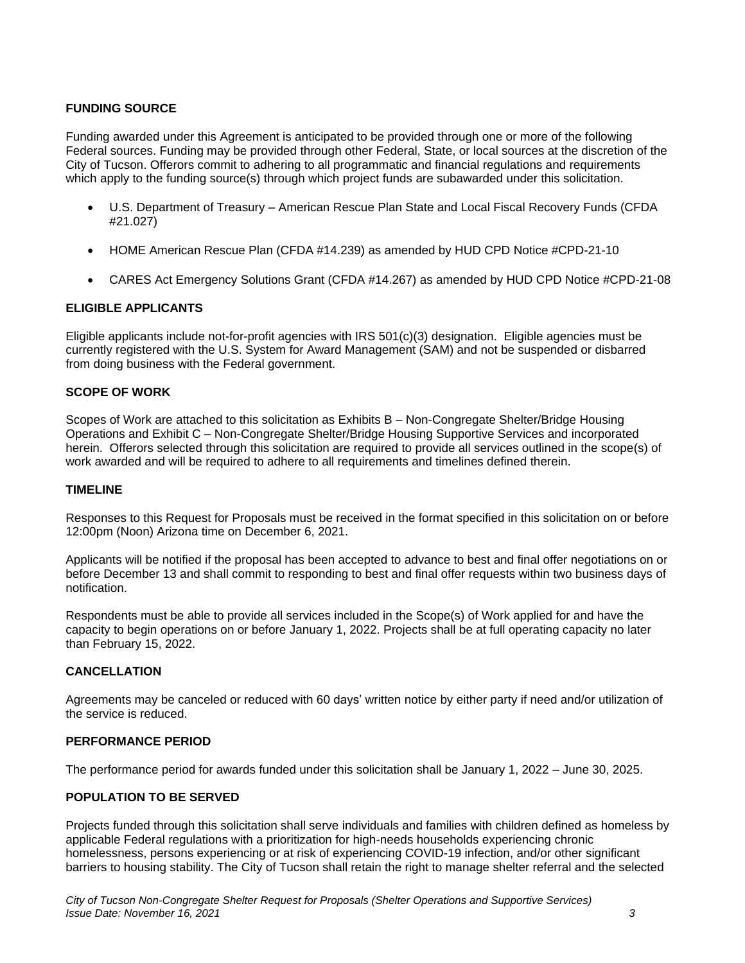## **FUNDING SOURCE**

Funding awarded under this Agreement is anticipated to be provided through one or more of the following Federal sources. Funding may be provided through other Federal, State, or local sources at the discretion of the City of Tucson. Offerors commit to adhering to all programmatic and financial regulations and requirements which apply to the funding source(s) through which project funds are subawarded under this solicitation.

- U.S. Department of Treasury American Rescue Plan State and Local Fiscal Recovery Funds (CFDA #21.027)
- HOME American Rescue Plan (CFDA #14.239) as amended by HUD CPD Notice #CPD-21-10
- CARES Act Emergency Solutions Grant (CFDA #14.267) as amended by HUD CPD Notice #CPD-21-08

## **ELIGIBLE APPLICANTS**

Eligible applicants include not-for-profit agencies with IRS 501(c)(3) designation. Eligible agencies must be currently registered with the U.S. System for Award Management (SAM) and not be suspended or disbarred from doing business with the Federal government.

#### **SCOPE OF WORK**

Scopes of Work are attached to this solicitation as Exhibits B – Non-Congregate Shelter/Bridge Housing Operations and Exhibit C – Non-Congregate Shelter/Bridge Housing Supportive Services and incorporated herein. Offerors selected through this solicitation are required to provide all services outlined in the scope(s) of work awarded and will be required to adhere to all requirements and timelines defined therein.

#### **TIMELINE**

Responses to this Request for Proposals must be received in the format specified in this solicitation on or before 12:00pm (Noon) Arizona time on December 6, 2021.

Applicants will be notified if the proposal has been accepted to advance to best and final offer negotiations on or before December 13 and shall commit to responding to best and final offer requests within two business days of notification.

Respondents must be able to provide all services included in the Scope(s) of Work applied for and have the capacity to begin operations on or before January 1, 2022. Projects shall be at full operating capacity no later than February 15, 2022.

#### **CANCELLATION**

Agreements may be canceled or reduced with 60 days' written notice by either party if need and/or utilization of the service is reduced.

#### **PERFORMANCE PERIOD**

The performance period for awards funded under this solicitation shall be January 1, 2022 – June 30, 2025.

#### **POPULATION TO BE SERVED**

Projects funded through this solicitation shall serve individuals and families with children defined as homeless by applicable Federal regulations with a prioritization for high-needs households experiencing chronic homelessness, persons experiencing or at risk of experiencing COVID-19 infection, and/or other significant barriers to housing stability. The City of Tucson shall retain the right to manage shelter referral and the selected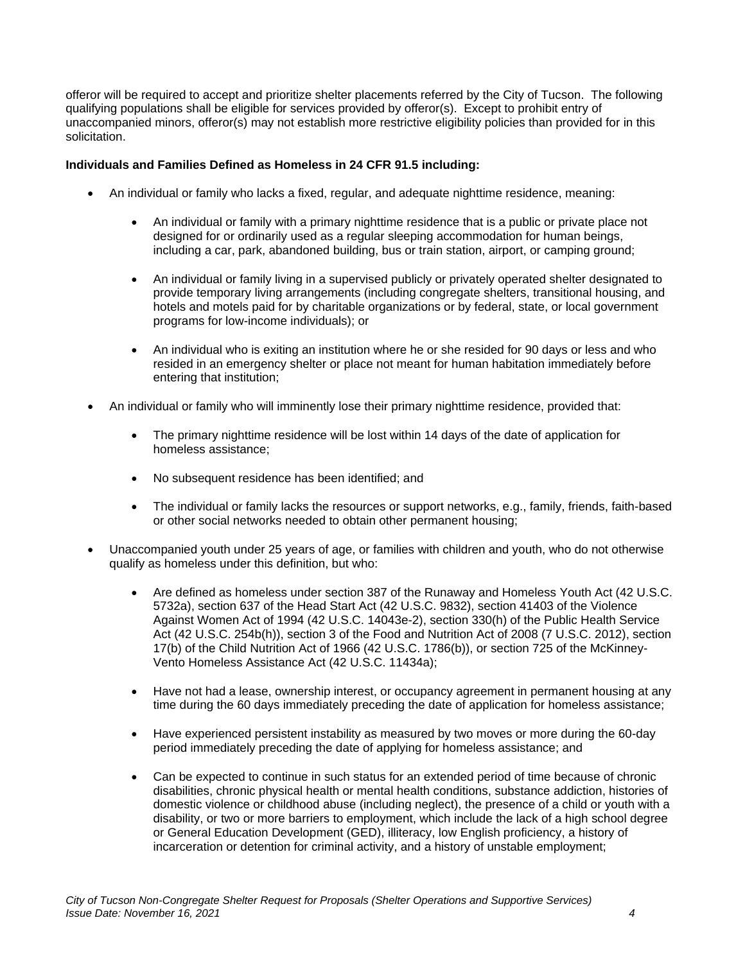offeror will be required to accept and prioritize shelter placements referred by the City of Tucson. The following qualifying populations shall be eligible for services provided by offeror(s). Except to prohibit entry of unaccompanied minors, offeror(s) may not establish more restrictive eligibility policies than provided for in this solicitation.

#### **Individuals and Families Defined as Homeless in 24 CFR 91.5 including:**

- An individual or family who lacks a fixed, regular, and adequate nighttime residence, meaning:
	- An individual or family with a primary nighttime residence that is a public or private place not designed for or ordinarily used as a regular sleeping accommodation for human beings, including a car, park, abandoned building, bus or train station, airport, or camping ground;
	- An individual or family living in a supervised publicly or privately operated shelter designated to provide temporary living arrangements (including congregate shelters, transitional housing, and hotels and motels paid for by charitable organizations or by federal, state, or local government programs for low-income individuals); or
	- An individual who is exiting an institution where he or she resided for 90 days or less and who resided in an emergency shelter or place not meant for human habitation immediately before entering that institution;
- An individual or family who will imminently lose their primary nighttime residence, provided that:
	- The primary nighttime residence will be lost within 14 days of the date of application for homeless assistance;
	- No subsequent residence has been identified; and
	- The individual or family lacks the resources or support networks, e.g., family, friends, faith-based or other social networks needed to obtain other permanent housing;
- Unaccompanied youth under 25 years of age, or families with children and youth, who do not otherwise qualify as homeless under this definition, but who:
	- Are defined as homeless under section 387 of the Runaway and Homeless Youth Act (42 U.S.C. 5732a), section 637 of the Head Start Act (42 U.S.C. 9832), section 41403 of the Violence Against Women Act of 1994 (42 U.S.C. 14043e-2), section 330(h) of the Public Health Service Act (42 U.S.C. 254b(h)), section 3 of the Food and Nutrition Act of 2008 (7 U.S.C. 2012), section 17(b) of the Child Nutrition Act of 1966 (42 U.S.C. 1786(b)), or section 725 of the McKinney-Vento Homeless Assistance Act (42 U.S.C. 11434a);
	- Have not had a lease, ownership interest, or occupancy agreement in permanent housing at any time during the 60 days immediately preceding the date of application for homeless assistance;
	- Have experienced persistent instability as measured by two moves or more during the 60-day period immediately preceding the date of applying for homeless assistance; and
	- Can be expected to continue in such status for an extended period of time because of chronic disabilities, chronic physical health or mental health conditions, substance addiction, histories of domestic violence or childhood abuse (including neglect), the presence of a child or youth with a disability, or two or more barriers to employment, which include the lack of a high school degree or General Education Development (GED), illiteracy, low English proficiency, a history of incarceration or detention for criminal activity, and a history of unstable employment;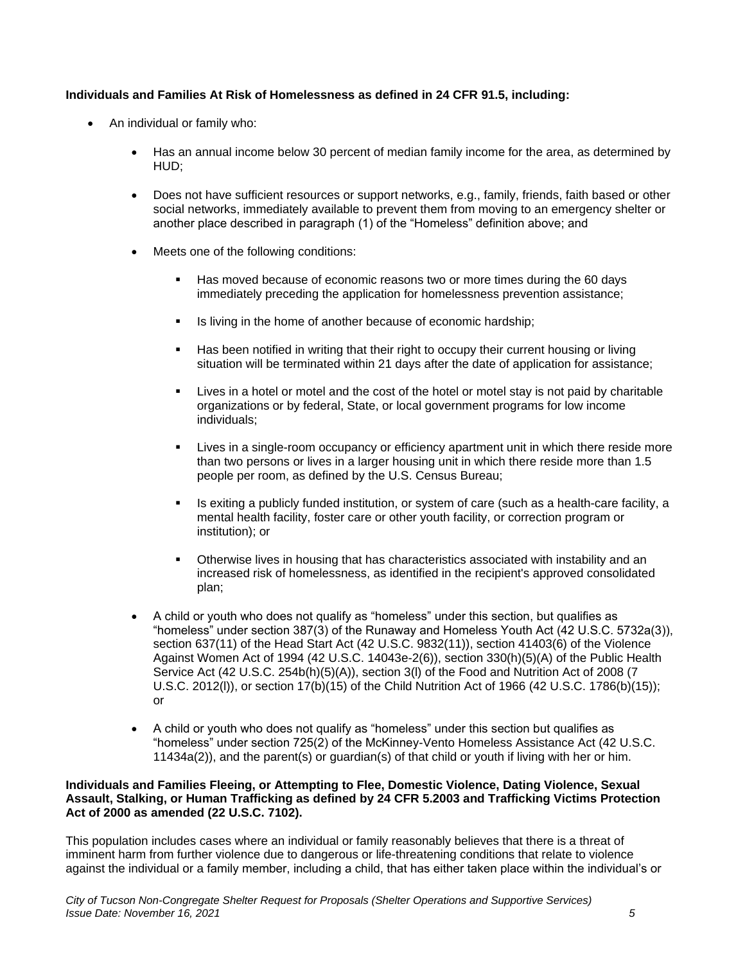## **Individuals and Families At Risk of Homelessness as defined in 24 CFR 91.5, including:**

- An individual or family who:
	- Has an annual income below 30 percent of median family income for the area, as determined by HUD;
	- Does not have sufficient resources or support networks, e.g., family, friends, faith based or other social networks, immediately available to prevent them from moving to an emergency shelter or another place described in paragraph (1) of the "Homeless" definition above; and
	- Meets one of the following conditions:
		- Has moved because of economic reasons two or more times during the 60 days immediately preceding the application for homelessness prevention assistance;
		- Is living in the home of another because of economic hardship;
		- **Has been notified in writing that their right to occupy their current housing or living** situation will be terminated within 21 days after the date of application for assistance;
		- Lives in a hotel or motel and the cost of the hotel or motel stay is not paid by charitable organizations or by federal, State, or local government programs for low income individuals;
		- Lives in a single-room occupancy or efficiency apartment unit in which there reside more than two persons or lives in a larger housing unit in which there reside more than 1.5 people per room, as defined by the U.S. Census Bureau;
		- Is exiting a publicly funded institution, or system of care (such as a health-care facility, a mental health facility, foster care or other youth facility, or correction program or institution); or
		- **•** Otherwise lives in housing that has characteristics associated with instability and an increased risk of homelessness, as identified in the recipient's approved consolidated plan;
	- A child or youth who does not qualify as "homeless" under this section, but qualifies as "homeless" under section 387(3) of the Runaway and Homeless Youth Act (42 U.S.C. 5732a(3)), section 637(11) of the Head Start Act (42 U.S.C. 9832(11)), section 41403(6) of the Violence Against Women Act of 1994 (42 U.S.C. 14043e-2(6)), section 330(h)(5)(A) of the Public Health Service Act (42 U.S.C. 254b(h)(5)(A)), section 3(l) of the Food and Nutrition Act of 2008 (7 U.S.C. 2012(l)), or section 17(b)(15) of the Child Nutrition Act of 1966 (42 U.S.C. 1786(b)(15)); or
	- A child or youth who does not qualify as "homeless" under this section but qualifies as "homeless" under section 725(2) of the McKinney-Vento Homeless Assistance Act (42 U.S.C. 11434a(2)), and the parent(s) or guardian(s) of that child or youth if living with her or him.

#### **Individuals and Families Fleeing, or Attempting to Flee, Domestic Violence, Dating Violence, Sexual Assault, Stalking, or Human Trafficking as defined by 24 CFR 5.2003 and Trafficking Victims Protection Act of 2000 as amended (22 U.S.C. 7102).**

This population includes cases where an individual or family reasonably believes that there is a threat of imminent harm from further violence due to dangerous or life-threatening conditions that relate to violence against the individual or a family member, including a child, that has either taken place within the individual's or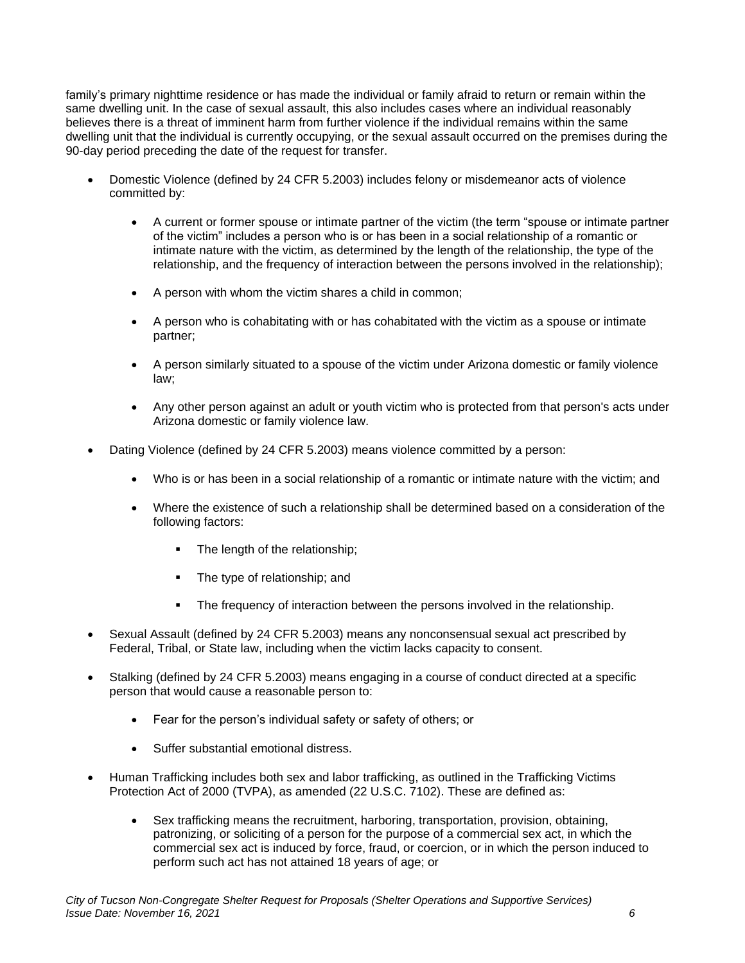family's primary nighttime residence or has made the individual or family afraid to return or remain within the same dwelling unit. In the case of sexual assault, this also includes cases where an individual reasonably believes there is a threat of imminent harm from further violence if the individual remains within the same dwelling unit that the individual is currently occupying, or the sexual assault occurred on the premises during the 90-day period preceding the date of the request for transfer.

- Domestic Violence (defined by 24 CFR 5.2003) includes felony or misdemeanor acts of violence committed by:
	- A current or former spouse or intimate partner of the victim (the term "spouse or intimate partner of the victim" includes a person who is or has been in a social relationship of a romantic or intimate nature with the victim, as determined by the length of the relationship, the type of the relationship, and the frequency of interaction between the persons involved in the relationship);
	- A person with whom the victim shares a child in common;
	- A person who is cohabitating with or has cohabitated with the victim as a spouse or intimate partner;
	- A person similarly situated to a spouse of the victim under Arizona domestic or family violence law;
	- Any other person against an adult or youth victim who is protected from that person's acts under Arizona domestic or family violence law.
- Dating Violence (defined by 24 CFR 5.2003) means violence committed by a person:
	- Who is or has been in a social relationship of a romantic or intimate nature with the victim; and
	- Where the existence of such a relationship shall be determined based on a consideration of the following factors:
		- The length of the relationship;
		- The type of relationship: and
		- **•** The frequency of interaction between the persons involved in the relationship.
- Sexual Assault (defined by 24 CFR 5.2003) means any nonconsensual sexual act prescribed by Federal, Tribal, or State law, including when the victim lacks capacity to consent.
- Stalking (defined by 24 CFR 5.2003) means engaging in a course of conduct directed at a specific person that would cause a reasonable person to:
	- Fear for the person's individual safety or safety of others; or
	- Suffer substantial emotional distress.
- Human Trafficking includes both sex and labor trafficking, as outlined in the Trafficking Victims Protection Act of 2000 (TVPA), as amended (22 U.S.C. 7102). These are defined as:
	- Sex trafficking means the recruitment, harboring, transportation, provision, obtaining, patronizing, or soliciting of a person for the purpose of a commercial sex act, in which the commercial sex act is induced by force, fraud, or coercion, or in which the person induced to perform such act has not attained 18 years of age; or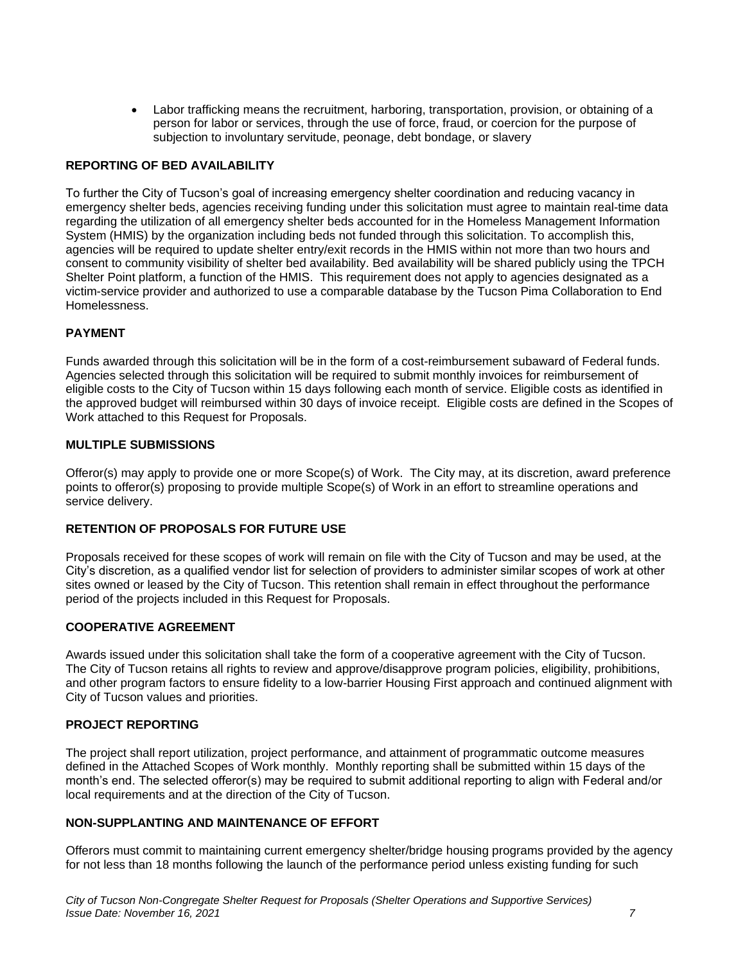• Labor trafficking means the recruitment, harboring, transportation, provision, or obtaining of a person for labor or services, through the use of force, fraud, or coercion for the purpose of subjection to involuntary servitude, peonage, debt bondage, or slavery

#### **REPORTING OF BED AVAILABILITY**

To further the City of Tucson's goal of increasing emergency shelter coordination and reducing vacancy in emergency shelter beds, agencies receiving funding under this solicitation must agree to maintain real-time data regarding the utilization of all emergency shelter beds accounted for in the Homeless Management Information System (HMIS) by the organization including beds not funded through this solicitation. To accomplish this, agencies will be required to update shelter entry/exit records in the HMIS within not more than two hours and consent to community visibility of shelter bed availability. Bed availability will be shared publicly using the TPCH Shelter Point platform, a function of the HMIS. This requirement does not apply to agencies designated as a victim-service provider and authorized to use a comparable database by the Tucson Pima Collaboration to End Homelessness.

#### **PAYMENT**

Funds awarded through this solicitation will be in the form of a cost-reimbursement subaward of Federal funds. Agencies selected through this solicitation will be required to submit monthly invoices for reimbursement of eligible costs to the City of Tucson within 15 days following each month of service. Eligible costs as identified in the approved budget will reimbursed within 30 days of invoice receipt. Eligible costs are defined in the Scopes of Work attached to this Request for Proposals.

#### **MULTIPLE SUBMISSIONS**

Offeror(s) may apply to provide one or more Scope(s) of Work. The City may, at its discretion, award preference points to offeror(s) proposing to provide multiple Scope(s) of Work in an effort to streamline operations and service delivery.

#### **RETENTION OF PROPOSALS FOR FUTURE USE**

Proposals received for these scopes of work will remain on file with the City of Tucson and may be used, at the City's discretion, as a qualified vendor list for selection of providers to administer similar scopes of work at other sites owned or leased by the City of Tucson. This retention shall remain in effect throughout the performance period of the projects included in this Request for Proposals.

#### **COOPERATIVE AGREEMENT**

Awards issued under this solicitation shall take the form of a cooperative agreement with the City of Tucson. The City of Tucson retains all rights to review and approve/disapprove program policies, eligibility, prohibitions, and other program factors to ensure fidelity to a low-barrier Housing First approach and continued alignment with City of Tucson values and priorities.

#### **PROJECT REPORTING**

The project shall report utilization, project performance, and attainment of programmatic outcome measures defined in the Attached Scopes of Work monthly. Monthly reporting shall be submitted within 15 days of the month's end. The selected offeror(s) may be required to submit additional reporting to align with Federal and/or local requirements and at the direction of the City of Tucson.

#### **NON-SUPPLANTING AND MAINTENANCE OF EFFORT**

Offerors must commit to maintaining current emergency shelter/bridge housing programs provided by the agency for not less than 18 months following the launch of the performance period unless existing funding for such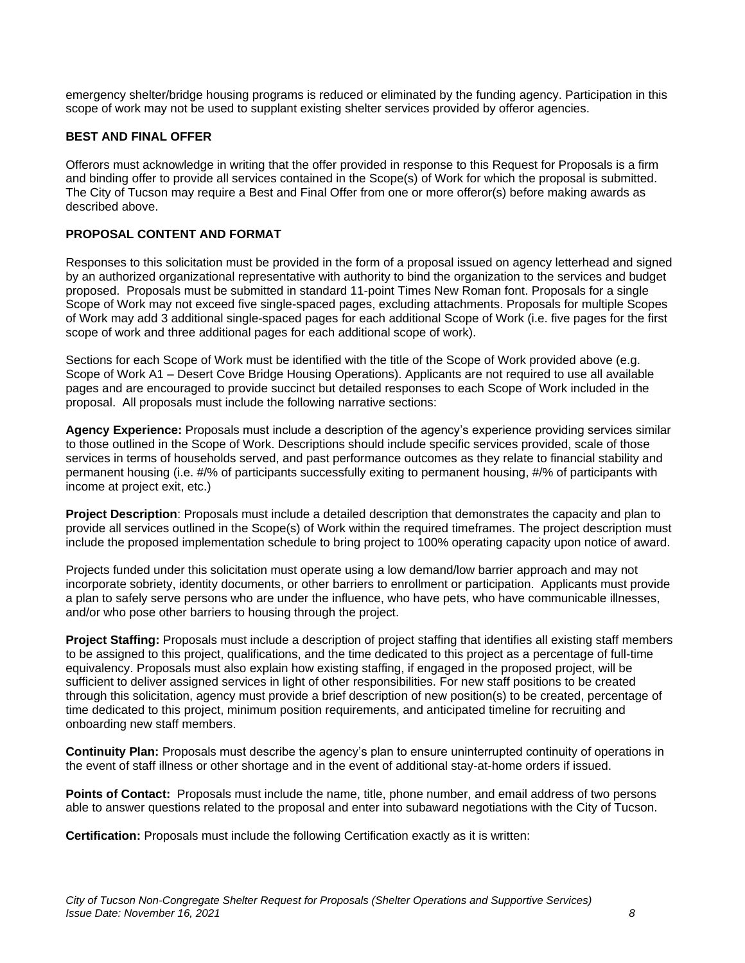emergency shelter/bridge housing programs is reduced or eliminated by the funding agency. Participation in this scope of work may not be used to supplant existing shelter services provided by offeror agencies.

## **BEST AND FINAL OFFER**

Offerors must acknowledge in writing that the offer provided in response to this Request for Proposals is a firm and binding offer to provide all services contained in the Scope(s) of Work for which the proposal is submitted. The City of Tucson may require a Best and Final Offer from one or more offeror(s) before making awards as described above.

## **PROPOSAL CONTENT AND FORMAT**

Responses to this solicitation must be provided in the form of a proposal issued on agency letterhead and signed by an authorized organizational representative with authority to bind the organization to the services and budget proposed. Proposals must be submitted in standard 11-point Times New Roman font. Proposals for a single Scope of Work may not exceed five single-spaced pages, excluding attachments. Proposals for multiple Scopes of Work may add 3 additional single-spaced pages for each additional Scope of Work (i.e. five pages for the first scope of work and three additional pages for each additional scope of work).

Sections for each Scope of Work must be identified with the title of the Scope of Work provided above (e.g. Scope of Work A1 – Desert Cove Bridge Housing Operations). Applicants are not required to use all available pages and are encouraged to provide succinct but detailed responses to each Scope of Work included in the proposal. All proposals must include the following narrative sections:

**Agency Experience:** Proposals must include a description of the agency's experience providing services similar to those outlined in the Scope of Work. Descriptions should include specific services provided, scale of those services in terms of households served, and past performance outcomes as they relate to financial stability and permanent housing (i.e. #/% of participants successfully exiting to permanent housing, #/% of participants with income at project exit, etc.)

**Project Description**: Proposals must include a detailed description that demonstrates the capacity and plan to provide all services outlined in the Scope(s) of Work within the required timeframes. The project description must include the proposed implementation schedule to bring project to 100% operating capacity upon notice of award.

Projects funded under this solicitation must operate using a low demand/low barrier approach and may not incorporate sobriety, identity documents, or other barriers to enrollment or participation. Applicants must provide a plan to safely serve persons who are under the influence, who have pets, who have communicable illnesses, and/or who pose other barriers to housing through the project.

**Project Staffing:** Proposals must include a description of project staffing that identifies all existing staff members to be assigned to this project, qualifications, and the time dedicated to this project as a percentage of full-time equivalency. Proposals must also explain how existing staffing, if engaged in the proposed project, will be sufficient to deliver assigned services in light of other responsibilities. For new staff positions to be created through this solicitation, agency must provide a brief description of new position(s) to be created, percentage of time dedicated to this project, minimum position requirements, and anticipated timeline for recruiting and onboarding new staff members.

**Continuity Plan:** Proposals must describe the agency's plan to ensure uninterrupted continuity of operations in the event of staff illness or other shortage and in the event of additional stay-at-home orders if issued.

Points of Contact: Proposals must include the name, title, phone number, and email address of two persons able to answer questions related to the proposal and enter into subaward negotiations with the City of Tucson.

**Certification:** Proposals must include the following Certification exactly as it is written: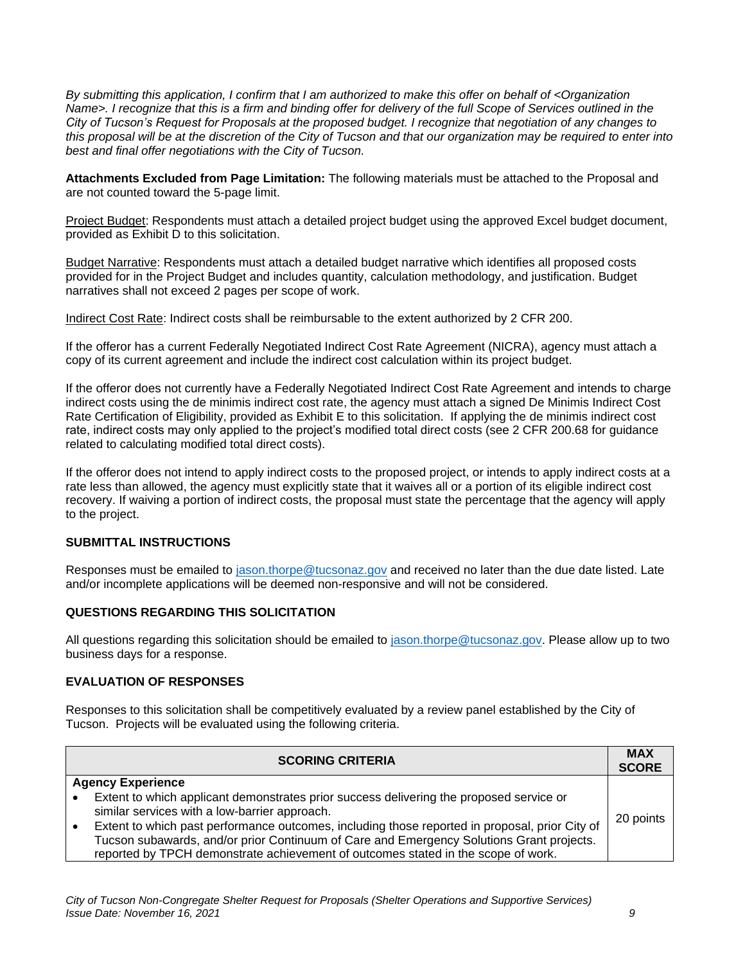*By submitting this application, I confirm that I am authorized to make this offer on behalf of <Organization Name>. I recognize that this is a firm and binding offer for delivery of the full Scope of Services outlined in the City of Tucson's Request for Proposals at the proposed budget. I recognize that negotiation of any changes to this proposal will be at the discretion of the City of Tucson and that our organization may be required to enter into best and final offer negotiations with the City of Tucson.* 

**Attachments Excluded from Page Limitation:** The following materials must be attached to the Proposal and are not counted toward the 5-page limit.

Project Budget: Respondents must attach a detailed project budget using the approved Excel budget document, provided as Exhibit D to this solicitation.

Budget Narrative: Respondents must attach a detailed budget narrative which identifies all proposed costs provided for in the Project Budget and includes quantity, calculation methodology, and justification. Budget narratives shall not exceed 2 pages per scope of work.

Indirect Cost Rate: Indirect costs shall be reimbursable to the extent authorized by 2 CFR 200.

If the offeror has a current Federally Negotiated Indirect Cost Rate Agreement (NICRA), agency must attach a copy of its current agreement and include the indirect cost calculation within its project budget.

If the offeror does not currently have a Federally Negotiated Indirect Cost Rate Agreement and intends to charge indirect costs using the de minimis indirect cost rate, the agency must attach a signed De Minimis Indirect Cost Rate Certification of Eligibility, provided as Exhibit E to this solicitation. If applying the de minimis indirect cost rate, indirect costs may only applied to the project's modified total direct costs (see 2 CFR 200.68 for guidance related to calculating modified total direct costs).

If the offeror does not intend to apply indirect costs to the proposed project, or intends to apply indirect costs at a rate less than allowed, the agency must explicitly state that it waives all or a portion of its eligible indirect cost recovery. If waiving a portion of indirect costs, the proposal must state the percentage that the agency will apply to the project.

### **SUBMITTAL INSTRUCTIONS**

Responses must be emailed to [jason.thorpe@tucsonaz.gov](mailto:jason.thorpe@tucsonaz.gov) and received no later than the due date listed. Late and/or incomplete applications will be deemed non-responsive and will not be considered.

#### **QUESTIONS REGARDING THIS SOLICITATION**

All questions regarding this solicitation should be emailed to [jason.thorpe@tucsonaz.gov.](mailto:jason.thorpe@tucsonaz.gov) Please allow up to two business days for a response.

#### **EVALUATION OF RESPONSES**

Responses to this solicitation shall be competitively evaluated by a review panel established by the City of Tucson. Projects will be evaluated using the following criteria.

|                          | <b>SCORING CRITERIA</b>                                                                        | <b>MAX</b><br><b>SCORE</b> |
|--------------------------|------------------------------------------------------------------------------------------------|----------------------------|
| <b>Agency Experience</b> |                                                                                                |                            |
|                          | Extent to which applicant demonstrates prior success delivering the proposed service or        |                            |
|                          | similar services with a low-barrier approach.                                                  | 20 points                  |
|                          | Extent to which past performance outcomes, including those reported in proposal, prior City of |                            |
|                          | Tucson subawards, and/or prior Continuum of Care and Emergency Solutions Grant projects.       |                            |
|                          | reported by TPCH demonstrate achievement of outcomes stated in the scope of work.              |                            |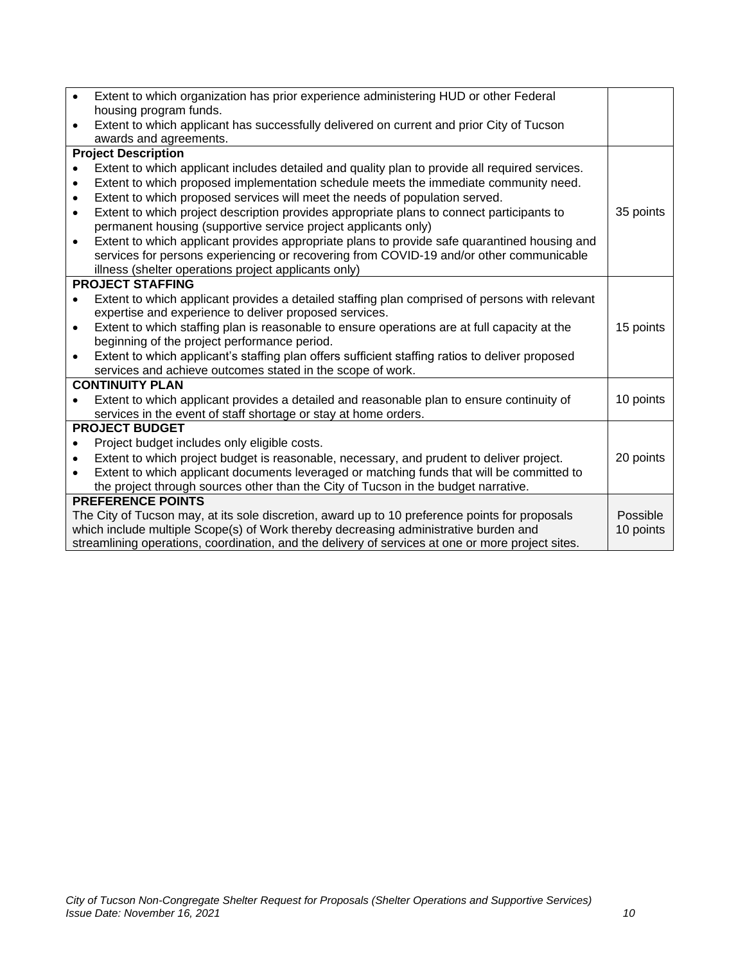| $\bullet$                                                                                         | Extent to which organization has prior experience administering HUD or other Federal            |           |
|---------------------------------------------------------------------------------------------------|-------------------------------------------------------------------------------------------------|-----------|
|                                                                                                   | housing program funds.                                                                          |           |
| $\bullet$                                                                                         | Extent to which applicant has successfully delivered on current and prior City of Tucson        |           |
|                                                                                                   | awards and agreements.                                                                          |           |
| <b>Project Description</b>                                                                        |                                                                                                 |           |
|                                                                                                   | Extent to which applicant includes detailed and quality plan to provide all required services.  |           |
| $\bullet$                                                                                         | Extent to which proposed implementation schedule meets the immediate community need.            |           |
| $\bullet$                                                                                         | Extent to which proposed services will meet the needs of population served.                     |           |
| $\bullet$                                                                                         | Extent to which project description provides appropriate plans to connect participants to       | 35 points |
|                                                                                                   | permanent housing (supportive service project applicants only)                                  |           |
| $\bullet$                                                                                         | Extent to which applicant provides appropriate plans to provide safe quarantined housing and    |           |
|                                                                                                   | services for persons experiencing or recovering from COVID-19 and/or other communicable         |           |
|                                                                                                   | illness (shelter operations project applicants only)                                            |           |
| <b>PROJECT STAFFING</b>                                                                           |                                                                                                 |           |
| ٠                                                                                                 | Extent to which applicant provides a detailed staffing plan comprised of persons with relevant  |           |
|                                                                                                   | expertise and experience to deliver proposed services.                                          |           |
| $\bullet$                                                                                         | Extent to which staffing plan is reasonable to ensure operations are at full capacity at the    | 15 points |
|                                                                                                   | beginning of the project performance period.                                                    |           |
| $\bullet$                                                                                         | Extent to which applicant's staffing plan offers sufficient staffing ratios to deliver proposed |           |
|                                                                                                   | services and achieve outcomes stated in the scope of work.                                      |           |
| <b>CONTINUITY PLAN</b>                                                                            |                                                                                                 |           |
|                                                                                                   | Extent to which applicant provides a detailed and reasonable plan to ensure continuity of       | 10 points |
|                                                                                                   | services in the event of staff shortage or stay at home orders.                                 |           |
| <b>PROJECT BUDGET</b>                                                                             |                                                                                                 |           |
| $\bullet$                                                                                         | Project budget includes only eligible costs.                                                    |           |
|                                                                                                   | Extent to which project budget is reasonable, necessary, and prudent to deliver project.        | 20 points |
| $\bullet$                                                                                         | Extent to which applicant documents leveraged or matching funds that will be committed to       |           |
|                                                                                                   | the project through sources other than the City of Tucson in the budget narrative.              |           |
| <b>PREFERENCE POINTS</b>                                                                          |                                                                                                 |           |
| The City of Tucson may, at its sole discretion, award up to 10 preference points for proposals    |                                                                                                 | Possible  |
| which include multiple Scope(s) of Work thereby decreasing administrative burden and<br>10 points |                                                                                                 |           |
| streamlining operations, coordination, and the delivery of services at one or more project sites. |                                                                                                 |           |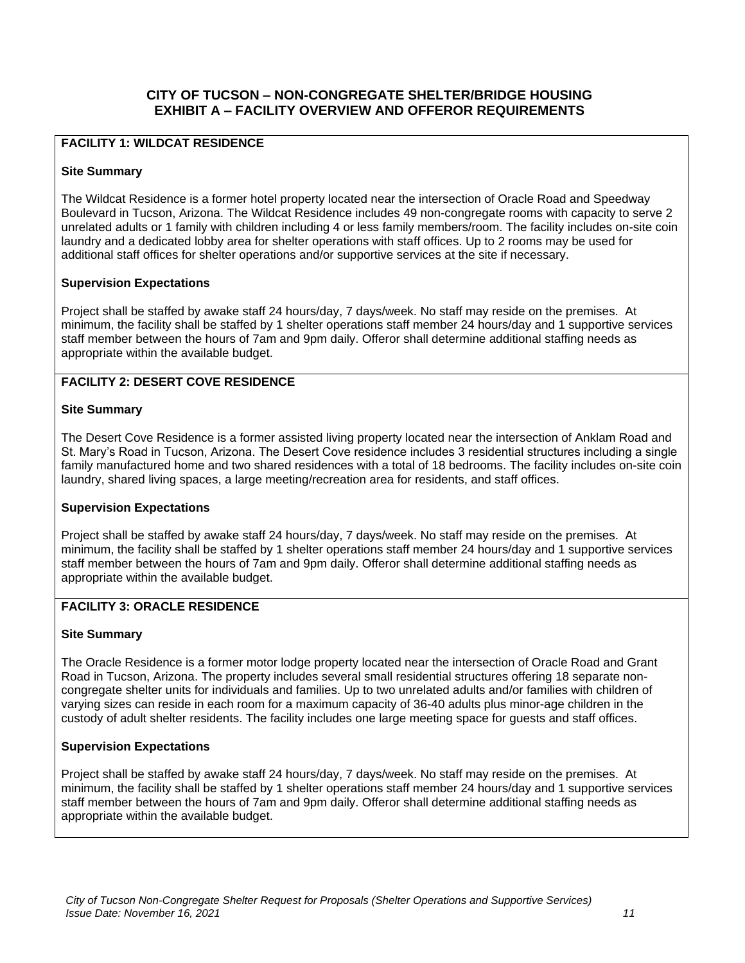## **CITY OF TUCSON – NON-CONGREGATE SHELTER/BRIDGE HOUSING EXHIBIT A – FACILITY OVERVIEW AND OFFEROR REQUIREMENTS**

## **FACILITY 1: WILDCAT RESIDENCE**

#### **Site Summary**

The Wildcat Residence is a former hotel property located near the intersection of Oracle Road and Speedway Boulevard in Tucson, Arizona. The Wildcat Residence includes 49 non-congregate rooms with capacity to serve 2 unrelated adults or 1 family with children including 4 or less family members/room. The facility includes on-site coin laundry and a dedicated lobby area for shelter operations with staff offices. Up to 2 rooms may be used for additional staff offices for shelter operations and/or supportive services at the site if necessary.

#### **Supervision Expectations**

Project shall be staffed by awake staff 24 hours/day, 7 days/week. No staff may reside on the premises. At minimum, the facility shall be staffed by 1 shelter operations staff member 24 hours/day and 1 supportive services staff member between the hours of 7am and 9pm daily. Offeror shall determine additional staffing needs as appropriate within the available budget.

## **FACILITY 2: DESERT COVE RESIDENCE**

#### **Site Summary**

The Desert Cove Residence is a former assisted living property located near the intersection of Anklam Road and St. Mary's Road in Tucson, Arizona. The Desert Cove residence includes 3 residential structures including a single family manufactured home and two shared residences with a total of 18 bedrooms. The facility includes on-site coin laundry, shared living spaces, a large meeting/recreation area for residents, and staff offices.

#### **Supervision Expectations**

Project shall be staffed by awake staff 24 hours/day, 7 days/week. No staff may reside on the premises. At minimum, the facility shall be staffed by 1 shelter operations staff member 24 hours/day and 1 supportive services staff member between the hours of 7am and 9pm daily. Offeror shall determine additional staffing needs as appropriate within the available budget.

## **FACILITY 3: ORACLE RESIDENCE**

#### **Site Summary**

The Oracle Residence is a former motor lodge property located near the intersection of Oracle Road and Grant Road in Tucson, Arizona. The property includes several small residential structures offering 18 separate noncongregate shelter units for individuals and families. Up to two unrelated adults and/or families with children of varying sizes can reside in each room for a maximum capacity of 36-40 adults plus minor-age children in the custody of adult shelter residents. The facility includes one large meeting space for guests and staff offices.

## **Supervision Expectations**

Project shall be staffed by awake staff 24 hours/day, 7 days/week. No staff may reside on the premises. At minimum, the facility shall be staffed by 1 shelter operations staff member 24 hours/day and 1 supportive services staff member between the hours of 7am and 9pm daily. Offeror shall determine additional staffing needs as appropriate within the available budget.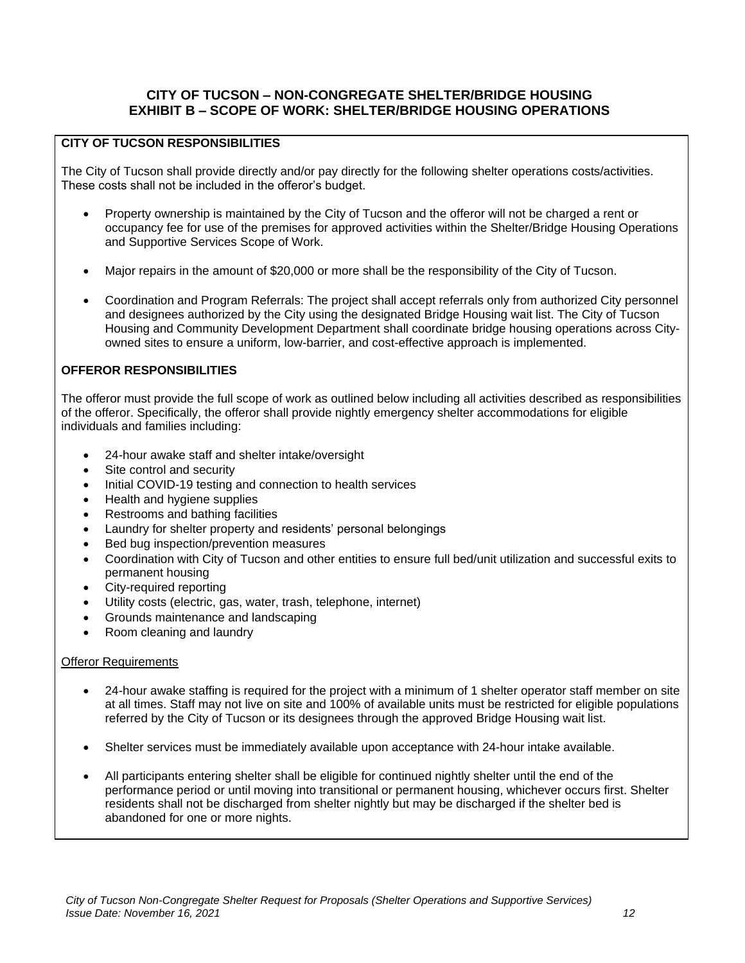## **CITY OF TUCSON – NON-CONGREGATE SHELTER/BRIDGE HOUSING EXHIBIT B – SCOPE OF WORK: SHELTER/BRIDGE HOUSING OPERATIONS**

## **CITY OF TUCSON RESPONSIBILITIES**

The City of Tucson shall provide directly and/or pay directly for the following shelter operations costs/activities. These costs shall not be included in the offeror's budget.

- Property ownership is maintained by the City of Tucson and the offeror will not be charged a rent or occupancy fee for use of the premises for approved activities within the Shelter/Bridge Housing Operations and Supportive Services Scope of Work.
- Major repairs in the amount of \$20,000 or more shall be the responsibility of the City of Tucson.
- Coordination and Program Referrals: The project shall accept referrals only from authorized City personnel and designees authorized by the City using the designated Bridge Housing wait list. The City of Tucson Housing and Community Development Department shall coordinate bridge housing operations across Cityowned sites to ensure a uniform, low-barrier, and cost-effective approach is implemented.

## **OFFEROR RESPONSIBILITIES**

The offeror must provide the full scope of work as outlined below including all activities described as responsibilities of the offeror. Specifically, the offeror shall provide nightly emergency shelter accommodations for eligible individuals and families including:

- 24-hour awake staff and shelter intake/oversight
- Site control and security
- Initial COVID-19 testing and connection to health services
- Health and hygiene supplies
- Restrooms and bathing facilities
- Laundry for shelter property and residents' personal belongings
- Bed bug inspection/prevention measures
- Coordination with City of Tucson and other entities to ensure full bed/unit utilization and successful exits to permanent housing
- City-required reporting
- Utility costs (electric, gas, water, trash, telephone, internet)
- Grounds maintenance and landscaping
- Room cleaning and laundry

#### **Offeror Requirements**

- 24-hour awake staffing is required for the project with a minimum of 1 shelter operator staff member on site at all times. Staff may not live on site and 100% of available units must be restricted for eligible populations referred by the City of Tucson or its designees through the approved Bridge Housing wait list.
- Shelter services must be immediately available upon acceptance with 24-hour intake available.
- All participants entering shelter shall be eligible for continued nightly shelter until the end of the performance period or until moving into transitional or permanent housing, whichever occurs first. Shelter residents shall not be discharged from shelter nightly but may be discharged if the shelter bed is abandoned for one or more nights.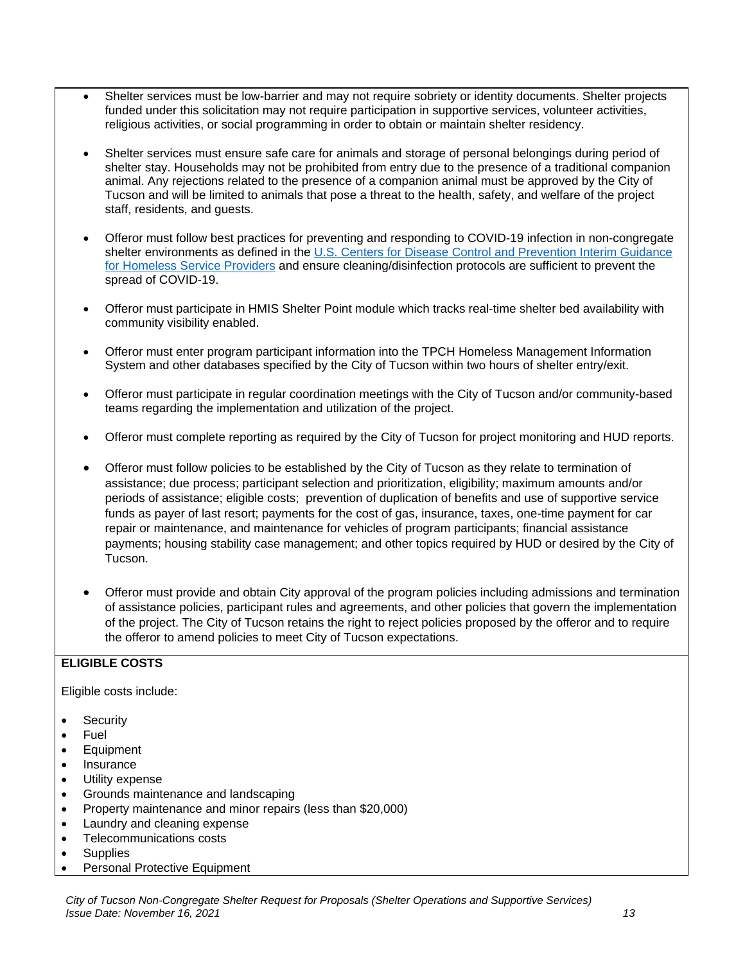- Shelter services must be low-barrier and may not require sobriety or identity documents. Shelter projects funded under this solicitation may not require participation in supportive services, volunteer activities, religious activities, or social programming in order to obtain or maintain shelter residency.
- Shelter services must ensure safe care for animals and storage of personal belongings during period of shelter stay. Households may not be prohibited from entry due to the presence of a traditional companion animal. Any rejections related to the presence of a companion animal must be approved by the City of Tucson and will be limited to animals that pose a threat to the health, safety, and welfare of the project staff, residents, and guests.
- Offeror must follow best practices for preventing and responding to COVID-19 infection in non-congregate shelter environments as defined in the U.S. Centers for Disease Control and Prevention Interim Guidance [for Homeless Service Providers](https://www.cdc.gov/coronavirus/2019-ncov/community/homeless-shelters/plan-prepare-respond.html) and ensure cleaning/disinfection protocols are sufficient to prevent the spread of COVID-19.
- Offeror must participate in HMIS Shelter Point module which tracks real-time shelter bed availability with community visibility enabled.
- Offeror must enter program participant information into the TPCH Homeless Management Information System and other databases specified by the City of Tucson within two hours of shelter entry/exit.
- Offeror must participate in regular coordination meetings with the City of Tucson and/or community-based teams regarding the implementation and utilization of the project.
- Offeror must complete reporting as required by the City of Tucson for project monitoring and HUD reports.
- Offeror must follow policies to be established by the City of Tucson as they relate to termination of assistance; due process; participant selection and prioritization, eligibility; maximum amounts and/or periods of assistance; eligible costs; prevention of duplication of benefits and use of supportive service funds as payer of last resort; payments for the cost of gas, insurance, taxes, one-time payment for car repair or maintenance, and maintenance for vehicles of program participants; financial assistance payments; housing stability case management; and other topics required by HUD or desired by the City of **Tucson**
- Offeror must provide and obtain City approval of the program policies including admissions and termination of assistance policies, participant rules and agreements, and other policies that govern the implementation of the project. The City of Tucson retains the right to reject policies proposed by the offeror and to require the offeror to amend policies to meet City of Tucson expectations.

## **ELIGIBLE COSTS**

Eligible costs include:

- Security
- Fuel
- Equipment
- Insurance
- Utility expense
- Grounds maintenance and landscaping
- Property maintenance and minor repairs (less than \$20,000)
- Laundry and cleaning expense
- Telecommunications costs
- **Supplies**
- Personal Protective Equipment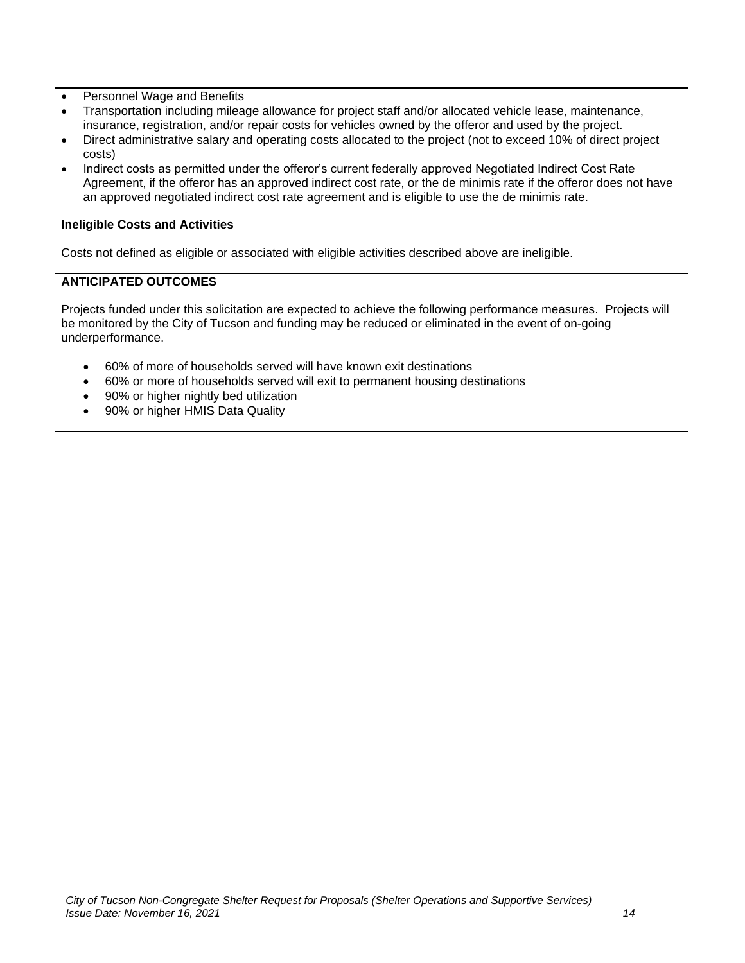- Personnel Wage and Benefits
- Transportation including mileage allowance for project staff and/or allocated vehicle lease, maintenance, insurance, registration, and/or repair costs for vehicles owned by the offeror and used by the project.
- Direct administrative salary and operating costs allocated to the project (not to exceed 10% of direct project costs)
- Indirect costs as permitted under the offeror's current federally approved Negotiated Indirect Cost Rate Agreement, if the offeror has an approved indirect cost rate, or the de minimis rate if the offeror does not have an approved negotiated indirect cost rate agreement and is eligible to use the de minimis rate.

## **Ineligible Costs and Activities**

Costs not defined as eligible or associated with eligible activities described above are ineligible.

## **ANTICIPATED OUTCOMES**

Projects funded under this solicitation are expected to achieve the following performance measures. Projects will be monitored by the City of Tucson and funding may be reduced or eliminated in the event of on-going underperformance.

- 60% of more of households served will have known exit destinations
- 60% or more of households served will exit to permanent housing destinations
- 90% or higher nightly bed utilization
- 90% or higher HMIS Data Quality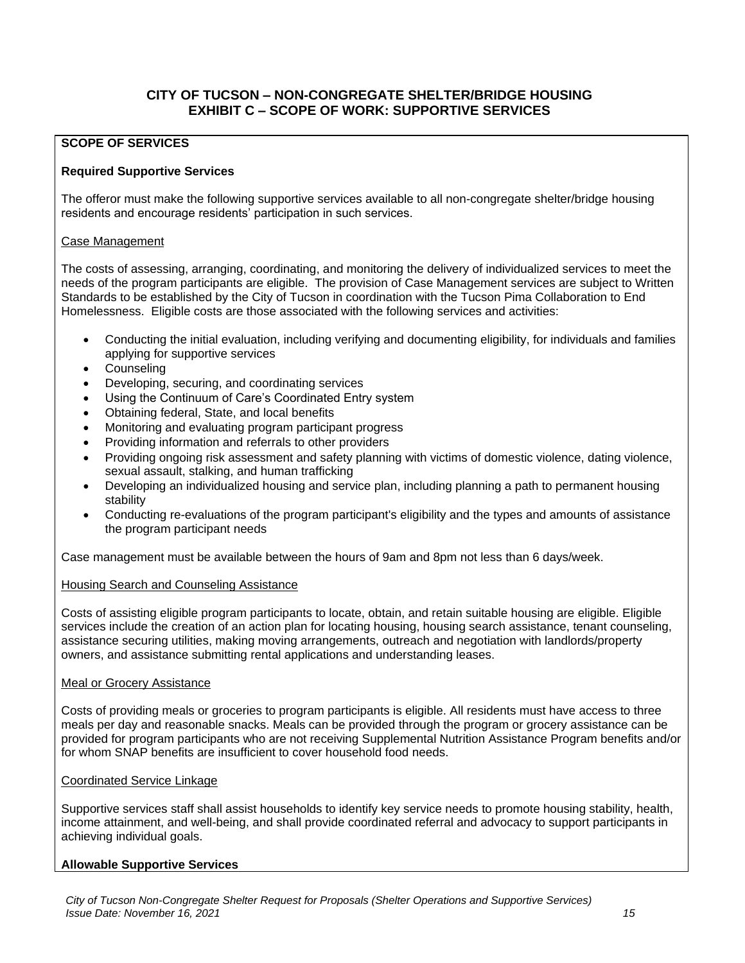## **CITY OF TUCSON – NON-CONGREGATE SHELTER/BRIDGE HOUSING EXHIBIT C – SCOPE OF WORK: SUPPORTIVE SERVICES**

## **SCOPE OF SERVICES**

### **Required Supportive Services**

The offeror must make the following supportive services available to all non-congregate shelter/bridge housing residents and encourage residents' participation in such services.

#### Case Management

The costs of assessing, arranging, coordinating, and monitoring the delivery of individualized services to meet the needs of the program participants are eligible. The provision of Case Management services are subject to Written Standards to be established by the City of Tucson in coordination with the Tucson Pima Collaboration to End Homelessness. Eligible costs are those associated with the following services and activities:

- Conducting the initial evaluation, including verifying and documenting eligibility, for individuals and families applying for supportive services
- **Counseling**
- Developing, securing, and coordinating services
- Using the Continuum of Care's Coordinated Entry system
- Obtaining federal, State, and local benefits
- Monitoring and evaluating program participant progress
- Providing information and referrals to other providers
- Providing ongoing risk assessment and safety planning with victims of domestic violence, dating violence, sexual assault, stalking, and human trafficking
- Developing an individualized housing and service plan, including planning a path to permanent housing stability
- Conducting re-evaluations of the program participant's eligibility and the types and amounts of assistance the program participant needs

Case management must be available between the hours of 9am and 8pm not less than 6 days/week.

#### Housing Search and Counseling Assistance

Costs of assisting eligible program participants to locate, obtain, and retain suitable housing are eligible. Eligible services include the creation of an action plan for locating housing, housing search assistance, tenant counseling, assistance securing utilities, making moving arrangements, outreach and negotiation with landlords/property owners, and assistance submitting rental applications and understanding leases.

#### Meal or Grocery Assistance

Costs of providing meals or groceries to program participants is eligible. All residents must have access to three meals per day and reasonable snacks. Meals can be provided through the program or grocery assistance can be provided for program participants who are not receiving Supplemental Nutrition Assistance Program benefits and/or for whom SNAP benefits are insufficient to cover household food needs.

#### Coordinated Service Linkage

Supportive services staff shall assist households to identify key service needs to promote housing stability, health, income attainment, and well-being, and shall provide coordinated referral and advocacy to support participants in achieving individual goals.

#### **Allowable Supportive Services**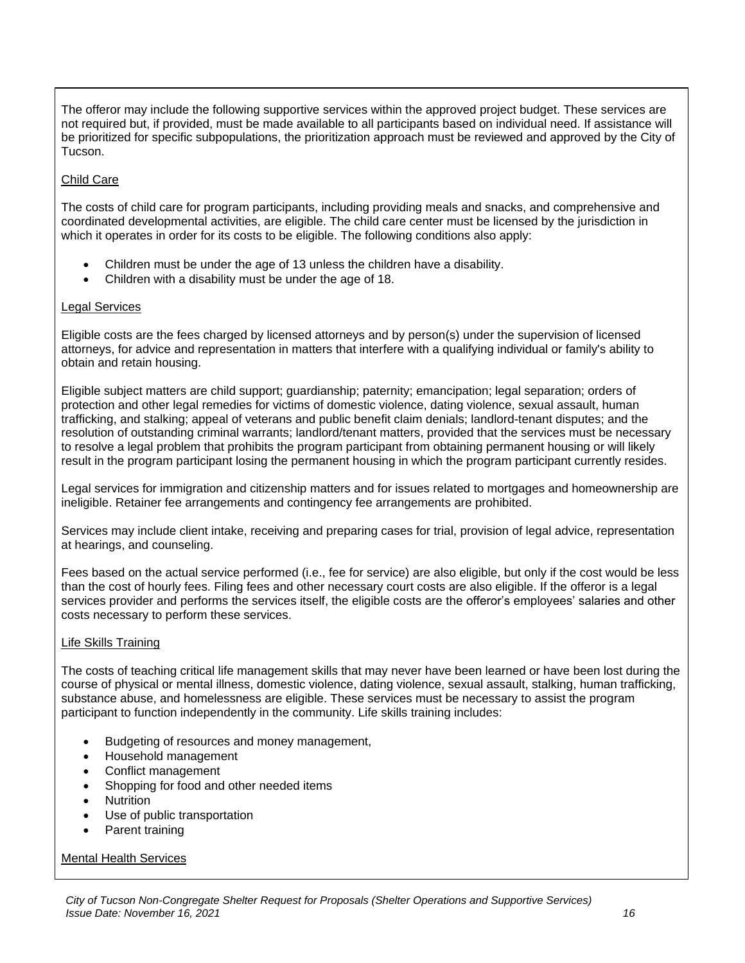The offeror may include the following supportive services within the approved project budget. These services are not required but, if provided, must be made available to all participants based on individual need. If assistance will be prioritized for specific subpopulations, the prioritization approach must be reviewed and approved by the City of Tucson.

## Child Care

The costs of child care for program participants, including providing meals and snacks, and comprehensive and coordinated developmental activities, are eligible. The child care center must be licensed by the jurisdiction in which it operates in order for its costs to be eligible. The following conditions also apply:

- Children must be under the age of 13 unless the children have a disability.
- Children with a disability must be under the age of 18.

## Legal Services

Eligible costs are the fees charged by licensed attorneys and by person(s) under the supervision of licensed attorneys, for advice and representation in matters that interfere with a qualifying individual or family's ability to obtain and retain housing.

Eligible subject matters are child support; guardianship; paternity; emancipation; legal separation; orders of protection and other legal remedies for victims of domestic violence, dating violence, sexual assault, human trafficking, and stalking; appeal of veterans and public benefit claim denials; landlord-tenant disputes; and the resolution of outstanding criminal warrants; landlord/tenant matters, provided that the services must be necessary to resolve a legal problem that prohibits the program participant from obtaining permanent housing or will likely result in the program participant losing the permanent housing in which the program participant currently resides.

Legal services for immigration and citizenship matters and for issues related to mortgages and homeownership are ineligible. Retainer fee arrangements and contingency fee arrangements are prohibited.

Services may include client intake, receiving and preparing cases for trial, provision of legal advice, representation at hearings, and counseling.

Fees based on the actual service performed (i.e., fee for service) are also eligible, but only if the cost would be less than the cost of hourly fees. Filing fees and other necessary court costs are also eligible. If the offeror is a legal services provider and performs the services itself, the eligible costs are the offeror's employees' salaries and other costs necessary to perform these services.

## Life Skills Training

The costs of teaching critical life management skills that may never have been learned or have been lost during the course of physical or mental illness, domestic violence, dating violence, sexual assault, stalking, human trafficking, substance abuse, and homelessness are eligible. These services must be necessary to assist the program participant to function independently in the community. Life skills training includes:

- Budgeting of resources and money management,
- Household management
- Conflict management
- Shopping for food and other needed items
- Nutrition
- Use of public transportation
- Parent training

## Mental Health Services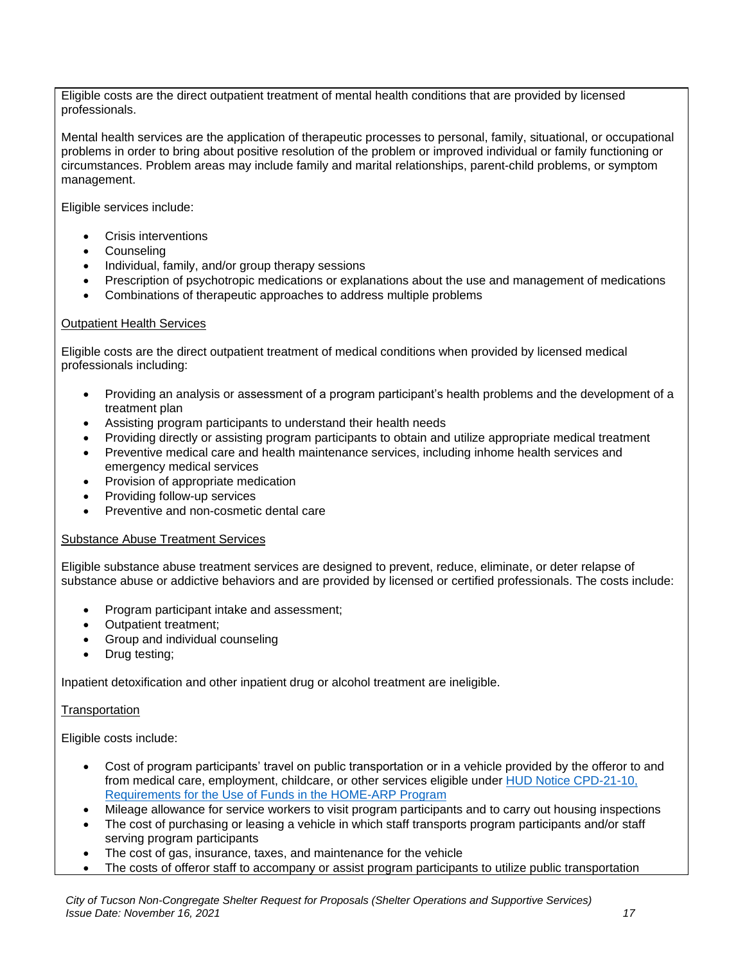Eligible costs are the direct outpatient treatment of mental health conditions that are provided by licensed professionals.

Mental health services are the application of therapeutic processes to personal, family, situational, or occupational problems in order to bring about positive resolution of the problem or improved individual or family functioning or circumstances. Problem areas may include family and marital relationships, parent-child problems, or symptom management.

Eligible services include:

- Crisis interventions
- Counseling
- Individual, family, and/or group therapy sessions
- Prescription of psychotropic medications or explanations about the use and management of medications
- Combinations of therapeutic approaches to address multiple problems

## Outpatient Health Services

Eligible costs are the direct outpatient treatment of medical conditions when provided by licensed medical professionals including:

- Providing an analysis or assessment of a program participant's health problems and the development of a treatment plan
- Assisting program participants to understand their health needs
- Providing directly or assisting program participants to obtain and utilize appropriate medical treatment
- Preventive medical care and health maintenance services, including inhome health services and emergency medical services
- Provision of appropriate medication
- Providing follow-up services
- Preventive and non-cosmetic dental care

#### Substance Abuse Treatment Services

Eligible substance abuse treatment services are designed to prevent, reduce, eliminate, or deter relapse of substance abuse or addictive behaviors and are provided by licensed or certified professionals. The costs include:

- Program participant intake and assessment;
- Outpatient treatment;
- Group and individual counseling
- Drug testing;

Inpatient detoxification and other inpatient drug or alcohol treatment are ineligible.

**Transportation** 

Eligible costs include:

- Cost of program participants' travel on public transportation or in a vehicle provided by the offeror to and from medical care, employment, childcare, or other services eligible under [HUD Notice CPD-21-10,](https://www.hudexchange.info/resource/6479/notice-cpd-2110-requirements-for-the-use-of-funds-in-the-home-arp-program/)  [Requirements for the Use of Funds in the HOME-ARP Program](https://www.hudexchange.info/resource/6479/notice-cpd-2110-requirements-for-the-use-of-funds-in-the-home-arp-program/)
- Mileage allowance for service workers to visit program participants and to carry out housing inspections
- The cost of purchasing or leasing a vehicle in which staff transports program participants and/or staff serving program participants
- The cost of gas, insurance, taxes, and maintenance for the vehicle
- The costs of offeror staff to accompany or assist program participants to utilize public transportation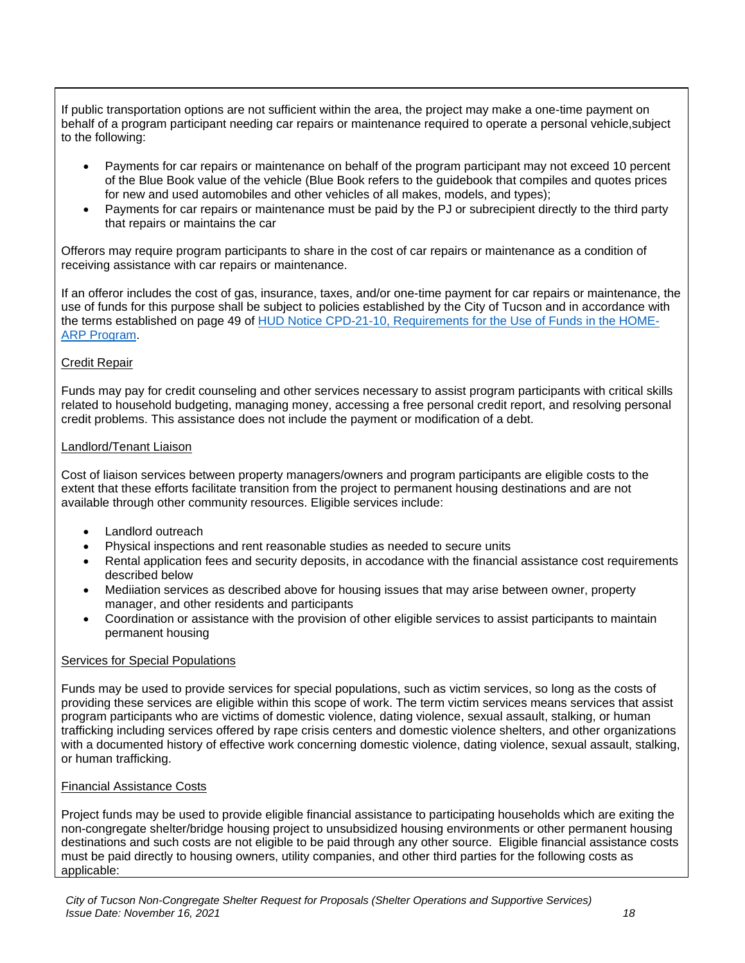If public transportation options are not sufficient within the area, the project may make a one-time payment on behalf of a program participant needing car repairs or maintenance required to operate a personal vehicle,subject to the following:

- Payments for car repairs or maintenance on behalf of the program participant may not exceed 10 percent of the Blue Book value of the vehicle (Blue Book refers to the guidebook that compiles and quotes prices for new and used automobiles and other vehicles of all makes, models, and types);
- Payments for car repairs or maintenance must be paid by the PJ or subrecipient directly to the third party that repairs or maintains the car

Offerors may require program participants to share in the cost of car repairs or maintenance as a condition of receiving assistance with car repairs or maintenance.

If an offeror includes the cost of gas, insurance, taxes, and/or one-time payment for car repairs or maintenance, the use of funds for this purpose shall be subject to policies established by the City of Tucson and in accordance with the terms established on page 49 of [HUD Notice CPD-21-10, Requirements for the Use of Funds in the HOME-](https://www.hudexchange.info/resource/6479/notice-cpd-2110-requirements-for-the-use-of-funds-in-the-home-arp-program/)[ARP Program.](https://www.hudexchange.info/resource/6479/notice-cpd-2110-requirements-for-the-use-of-funds-in-the-home-arp-program/)

## Credit Repair

Funds may pay for credit counseling and other services necessary to assist program participants with critical skills related to household budgeting, managing money, accessing a free personal credit report, and resolving personal credit problems. This assistance does not include the payment or modification of a debt.

#### Landlord/Tenant Liaison

Cost of liaison services between property managers/owners and program participants are eligible costs to the extent that these efforts facilitate transition from the project to permanent housing destinations and are not available through other community resources. Eligible services include:

- Landlord outreach
- Physical inspections and rent reasonable studies as needed to secure units
- Rental application fees and security deposits, in accodance with the financial assistance cost requirements described below
- Mediiation services as described above for housing issues that may arise between owner, property manager, and other residents and participants
- Coordination or assistance with the provision of other eligible services to assist participants to maintain permanent housing

#### Services for Special Populations

Funds may be used to provide services for special populations, such as victim services, so long as the costs of providing these services are eligible within this scope of work. The term victim services means services that assist program participants who are victims of domestic violence, dating violence, sexual assault, stalking, or human trafficking including services offered by rape crisis centers and domestic violence shelters, and other organizations with a documented history of effective work concerning domestic violence, dating violence, sexual assault, stalking, or human trafficking.

#### Financial Assistance Costs

Project funds may be used to provide eligible financial assistance to participating households which are exiting the non-congregate shelter/bridge housing project to unsubsidized housing environments or other permanent housing destinations and such costs are not eligible to be paid through any other source. Eligible financial assistance costs must be paid directly to housing owners, utility companies, and other third parties for the following costs as applicable: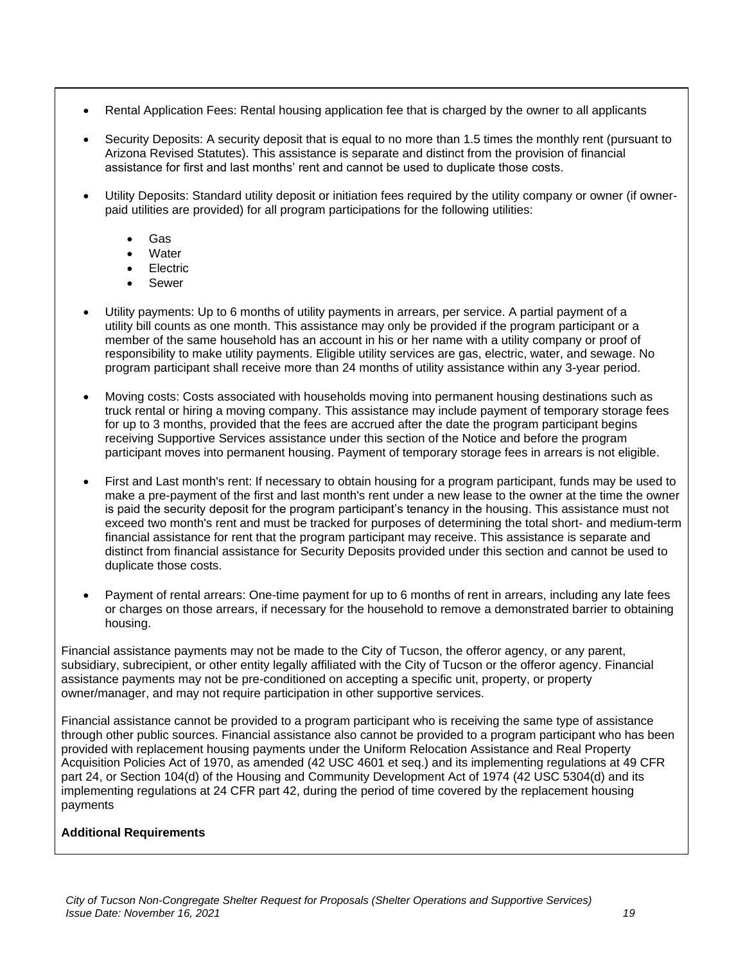- Rental Application Fees: Rental housing application fee that is charged by the owner to all applicants
- Security Deposits: A security deposit that is equal to no more than 1.5 times the monthly rent (pursuant to Arizona Revised Statutes). This assistance is separate and distinct from the provision of financial assistance for first and last months' rent and cannot be used to duplicate those costs.
- Utility Deposits: Standard utility deposit or initiation fees required by the utility company or owner (if ownerpaid utilities are provided) for all program participations for the following utilities:
	- Gas
	- **Water**
	- Electric
	- **Sewer**
- Utility payments: Up to 6 months of utility payments in arrears, per service. A partial payment of a utility bill counts as one month. This assistance may only be provided if the program participant or a member of the same household has an account in his or her name with a utility company or proof of responsibility to make utility payments. Eligible utility services are gas, electric, water, and sewage. No program participant shall receive more than 24 months of utility assistance within any 3-year period.
- Moving costs: Costs associated with households moving into permanent housing destinations such as truck rental or hiring a moving company. This assistance may include payment of temporary storage fees for up to 3 months, provided that the fees are accrued after the date the program participant begins receiving Supportive Services assistance under this section of the Notice and before the program participant moves into permanent housing. Payment of temporary storage fees in arrears is not eligible.
- First and Last month's rent: If necessary to obtain housing for a program participant, funds may be used to make a pre-payment of the first and last month's rent under a new lease to the owner at the time the owner is paid the security deposit for the program participant's tenancy in the housing. This assistance must not exceed two month's rent and must be tracked for purposes of determining the total short- and medium-term financial assistance for rent that the program participant may receive. This assistance is separate and distinct from financial assistance for Security Deposits provided under this section and cannot be used to duplicate those costs.
- Payment of rental arrears: One-time payment for up to 6 months of rent in arrears, including any late fees or charges on those arrears, if necessary for the household to remove a demonstrated barrier to obtaining housing.

Financial assistance payments may not be made to the City of Tucson, the offeror agency, or any parent, subsidiary, subrecipient, or other entity legally affiliated with the City of Tucson or the offeror agency. Financial assistance payments may not be pre-conditioned on accepting a specific unit, property, or property owner/manager, and may not require participation in other supportive services.

Financial assistance cannot be provided to a program participant who is receiving the same type of assistance through other public sources. Financial assistance also cannot be provided to a program participant who has been provided with replacement housing payments under the Uniform Relocation Assistance and Real Property Acquisition Policies Act of 1970, as amended (42 USC 4601 et seq.) and its implementing regulations at 49 CFR part 24, or Section 104(d) of the Housing and Community Development Act of 1974 (42 USC 5304(d) and its implementing regulations at 24 CFR part 42, during the period of time covered by the replacement housing payments

## **Additional Requirements**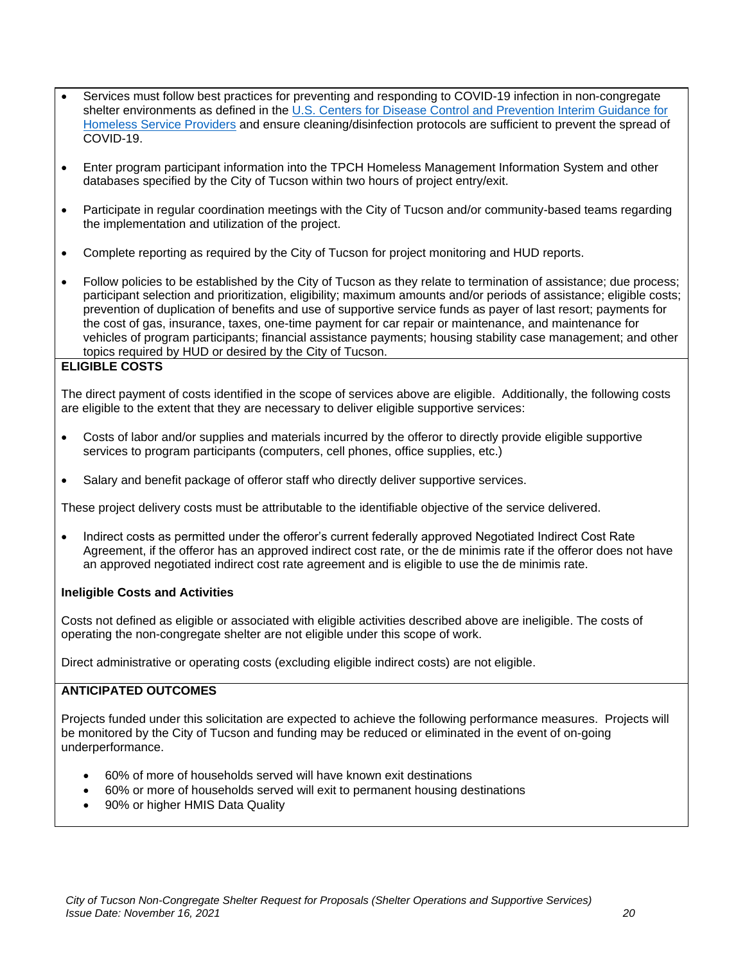- Services must follow best practices for preventing and responding to COVID-19 infection in non-congregate shelter environments as defined in the [U.S. Centers for Disease Control and Prevention Interim Guidance for](https://www.cdc.gov/coronavirus/2019-ncov/community/homeless-shelters/plan-prepare-respond.html)  [Homeless Service Providers](https://www.cdc.gov/coronavirus/2019-ncov/community/homeless-shelters/plan-prepare-respond.html) and ensure cleaning/disinfection protocols are sufficient to prevent the spread of COVID-19.
- Enter program participant information into the TPCH Homeless Management Information System and other databases specified by the City of Tucson within two hours of project entry/exit.
- Participate in regular coordination meetings with the City of Tucson and/or community-based teams regarding the implementation and utilization of the project.
- Complete reporting as required by the City of Tucson for project monitoring and HUD reports.
- Follow policies to be established by the City of Tucson as they relate to termination of assistance; due process; participant selection and prioritization, eligibility; maximum amounts and/or periods of assistance; eligible costs; prevention of duplication of benefits and use of supportive service funds as payer of last resort; payments for the cost of gas, insurance, taxes, one-time payment for car repair or maintenance, and maintenance for vehicles of program participants; financial assistance payments; housing stability case management; and other topics required by HUD or desired by the City of Tucson.

## **ELIGIBLE COSTS**

The direct payment of costs identified in the scope of services above are eligible. Additionally, the following costs are eligible to the extent that they are necessary to deliver eligible supportive services:

- Costs of labor and/or supplies and materials incurred by the offeror to directly provide eligible supportive services to program participants (computers, cell phones, office supplies, etc.)
- Salary and benefit package of offeror staff who directly deliver supportive services.

These project delivery costs must be attributable to the identifiable objective of the service delivered.

• Indirect costs as permitted under the offeror's current federally approved Negotiated Indirect Cost Rate Agreement, if the offeror has an approved indirect cost rate, or the de minimis rate if the offeror does not have an approved negotiated indirect cost rate agreement and is eligible to use the de minimis rate.

#### **Ineligible Costs and Activities**

Costs not defined as eligible or associated with eligible activities described above are ineligible. The costs of operating the non-congregate shelter are not eligible under this scope of work.

Direct administrative or operating costs (excluding eligible indirect costs) are not eligible.

## **ANTICIPATED OUTCOMES**

Projects funded under this solicitation are expected to achieve the following performance measures. Projects will be monitored by the City of Tucson and funding may be reduced or eliminated in the event of on-going underperformance.

- 60% of more of households served will have known exit destinations
- 60% or more of households served will exit to permanent housing destinations
- 90% or higher HMIS Data Quality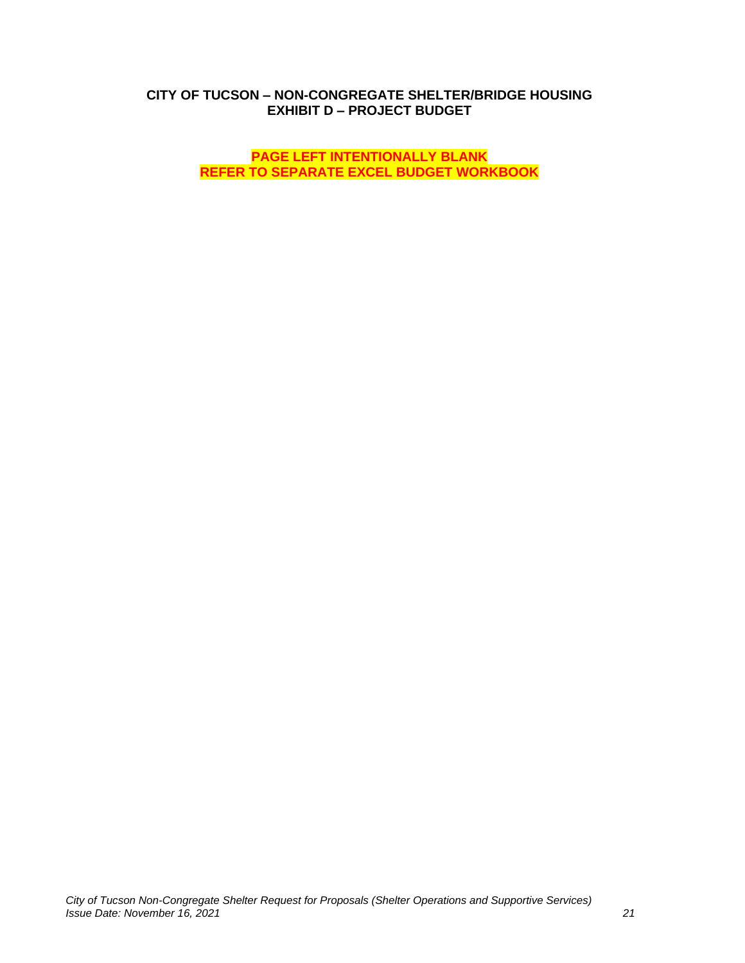## **CITY OF TUCSON – NON-CONGREGATE SHELTER/BRIDGE HOUSING EXHIBIT D – PROJECT BUDGET**

**PAGE LEFT INTENTIONALLY BLANK REFER TO SEPARATE EXCEL BUDGET WORKBOOK**

*City of Tucson Non-Congregate Shelter Request for Proposals (Shelter Operations and Supportive Services) Issue Date: November 16, 2021 21*